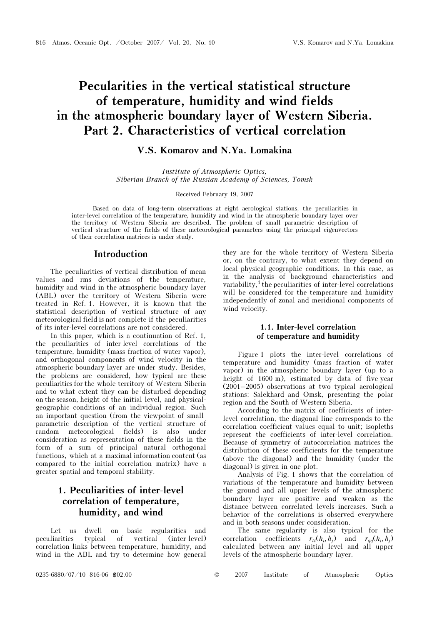# Pecularities in the vertical statistical structure of temperature, humidity and wind fields in the atmospheric boundary layer of Western Siberia. Part 2. Characteristics of vertical correlation

### V.S. Komarov and N.Ya. Lomakina

Institute of Atmospheric Optics, Siberian Branch of the Russian Academy of Sciences, Tomsk

#### Received February 19, 2007

Based on data of long-term observations at eight aerological stations, the peculiarities in inter-level correlation of the temperature, humidity and wind in the atmospheric boundary layer over the territory of Western Siberia are described. The problem of small parametric description of vertical structure of the fields of these meteorological parameters using the principal eigenvectors of their correlation matrices is under study.

### Introduction

The peculiarities of vertical distribution of mean values and rms deviations of the temperature, humidity and wind in the atmospheric boundary layer (ABL) over the territory of Western Siberia were treated in Ref. 1. However, it is known that the statistical description of vertical structure of any meteorological field is not complete if the peculiarities of its inter-level correlations are not considered.

In this paper, which is a continuation of Ref. 1, the peculiarities of inter-level correlations of the temperature, humidity (mass fraction of water vapor), and orthogonal components of wind velocity in the atmospheric boundary layer are under study. Besides, the problems are considered, how typical are these peculiarities for the whole territory of Western Siberia and to what extent they can be disturbed depending on the season, height of the initial level, and physicalgeographic conditions of an individual region. Such an important question (from the viewpoint of smallparametric description of the vertical structure of random meteorological fields) is also under consideration as representation of these fields in the form of a sum of principal natural orthogonal functions, which at a maximal information content (as compared to the initial correlation matrix) have a greater spatial and temporal stability.

## 1. Peculiarities of inter-level correlation of temperature, humidity, and wind

Let us dwell on basic regularities and peculiarities typical of vertical (inter-level) correlation links between temperature, humidity, and wind in the ABL and try to determine how general they are for the whole territory of Western Siberia or, on the contrary, to what extent they depend on local physical-geographic conditions. In this case, as in the analysis of background characteristics and variability, $\frac{1}{1}$  the peculiarities of inter-level correlations will be considered for the temperature and humidity independently of zonal and meridional components of wind velocity.

#### 1.1. Inter-level correlation of temperature and humidity

Figure 1 plots the inter-level correlations of temperature and humidity (mass fraction of water vapor) in the atmospheric boundary layer (up to a height of 1600 m), estimated by data of five-year (2001–2005) observations at two typical aerological stations: Salekhard and Omsk, presenting the polar region and the South of Western Siberia.

According to the matrix of coefficients of interlevel correlation, the diagonal line corresponds to the correlation coefficient values equal to unit; isopleths represent the coefficients of inter-level correlation. Because of symmetry of autocorrelation matrices the distribution of these coefficients for the temperature (above the diagonal) and the humidity (under the diagonal) is given in one plot.

Analysis of Fig. 1 shows that the correlation of variations of the temperature and humidity between the ground and all upper levels of the atmospheric boundary layer are positive and weaken as the distance between correlated levels increases. Such a behavior of the correlations is observed everywhere and in both seasons under consideration.

The same regularity is also typical for the correlation coefficients  $r_{tt}(h_i, h_j)$  and  $r_{qq}(h_i, h_j)$ calculated between any initial level and all upper levels of the atmospheric boundary layer.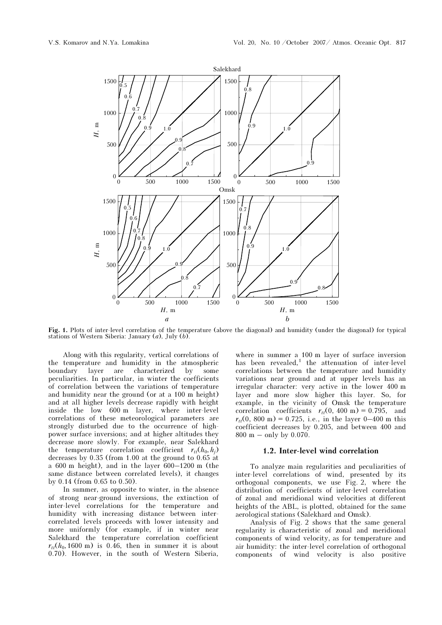

Fig. 1. Plots of inter-level correlation of the temperature (above the diagonal) and humidity (under the diagonal) for typical stations of Western Siberia: January  $(a)$ , July  $(b)$ .

Along with this regularity, vertical correlations of the temperature and humidity in the atmospheric boundary layer are characterized by some peculiarities. In particular, in winter the coefficients of correlation between the variations of temperature and humidity near the ground (or at a 100 m height) and at all higher levels decrease rapidly with height inside the low 600 m layer, where inter-level correlations of these meteorological parameters are strongly disturbed due to the occurrence of highpower surface inversions; and at higher altitudes they decrease more slowly. For example, near Salekhard the temperature correlation coefficient  $r_{tt}(h_0,h_i)$ decreases by 0.35 (from 1.00 at the ground to 0.65 at a 600 m height), and in the layer 600–1200 m (the same distance between correlated levels), it changes by 0.14 (from 0.65 to 0.50).

In summer, as opposite to winter, in the absence of strong near-ground inversions, the extinction of inter-level correlations for the temperature and humidity with increasing distance between intercorrelated levels proceeds with lower intensity and more uniformly (for example, if in winter near Salekhard the temperature correlation coefficient  $r_{tt}(h_0, 1600 \text{ m})$  is 0.46, then in summer it is about 0.70). However, in the south of Western Siberia,

where in summer a 100 m layer of surface inversion has been revealed,<sup>1</sup> the attenuation of inter-level correlations between the temperature and humidity variations near ground and at upper levels has an irregular character: very active in the lower 400 m layer and more slow higher this layer. So, for example, in the vicinity of Omsk the temperature correlation coefficients  $r_{tt}(0, 400 \text{ m}) = 0.795$ , and  $r_{tt}(0, 800 \text{ m}) = 0.725$ , i.e., in the layer 0–400 m this coefficient decreases by 0.205, and between 400 and 800 m – only by 0.070.

#### 1.2. Inter-level wind correlation

To analyze main regularities and peculiarities of inter-level correlations of wind, presented by its orthogonal components, we use Fig. 2, where the distribution of coefficients of inter-level correlation of zonal and meridional wind velocities at different heights of the ABL, is plotted, obtained for the same aerological stations (Salekhard and Omsk).

Analysis of Fig. 2 shows that the same general regularity is characteristic of zonal and meridional components of wind velocity, as for temperature and air humidity: the inter-level correlation of orthogonal components of wind velocity is also positive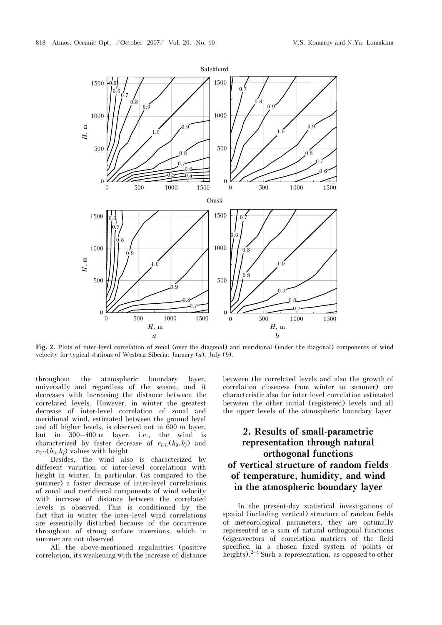

Fig. 2. Plots of inter-level correlation of zonal (over the diagonal) and meridional (under the diagonal) components of wind velocity for typical stations of Western Siberia: January (a), July (b).

throughout the atmospheric boundary layer, universally and regardless of the season, and it decreases with increasing the distance between the correlated levels. However, in winter the greatest decrease of inter-level correlation of zonal and meridional wind, estimated between the ground level and all higher levels, is observed not in 600 m layer, but in 300–400 m layer, i.e., the wind is characterized by faster decrease of  $r_{UU}(h_0,h_i)$  and  $r_{VV}(h_0, h_i)$  values with height.

Besides, the wind also is characterized by different variation of inter-level correlations with height in winter. In particular, (as compared to the summer) a faster decrease of inter-level correlations of zonal and meridional components of wind velocity with increase of distance between the correlated levels is observed. This is conditioned by the fact that in winter the inter-level wind correlations are essentially disturbed because of the occurrence throughout of strong surface inversions, which in summer are not observed.

All the above-mentioned regularities (positive correlation, its weakening with the increase of distance

between the correlated levels and also the growth of correlation closeness from winter to summer) are characteristic also for inter-level correlation estimated between the other initial (registered) levels and all the upper levels of the atmospheric boundary layer.

# 2. Results of small-parametric representation through natural orthogonal functions of vertical structure of random fields of temperature, humidity, and wind in the atmospheric boundary layer

In the present-day statistical investigations of spatial (including vertical) structure of random fields of meteorological parameters, they are optimally represented as a sum of natural orthogonal functions (eigenvectors of correlation matrices of the field specified in a chosen fixed system of points or heights).<sup>2–4</sup> Such a representation, as opposed to other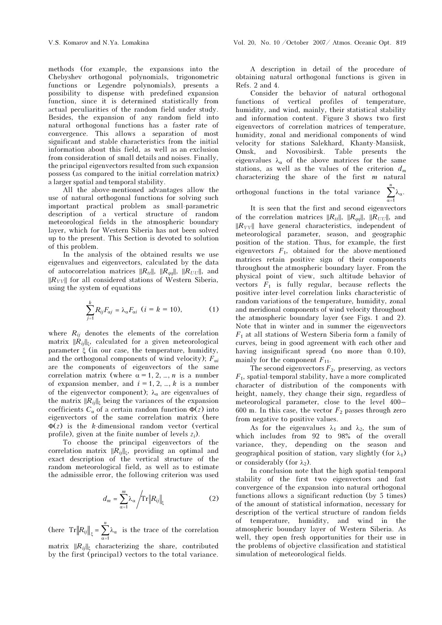methods (for example, the expansions into the Chebyshev orthogonal polynomials, trigonometric functions or Legendre polynomials), presents a possibility to dispense with predefined expansion function, since it is determined statistically from actual peculiarities of the random field under study. Besides, the expansion of any random field into natural orthogonal functions has a faster rate of convergence. This allows a separation of most significant and stable characteristics from the initial information about this field, as well as an exclusion from consideration of small details and noises. Finally, the principal eigenvectors resulted from such expansion possess (as compared to the initial correlation matrix) a larger spatial and temporal stability.

All the above-mentioned advantages allow the use of natural orthogonal functions for solving such important practical problem as small-parametric description of a vertical structure of random meteorological fields in the atmospheric boundary layer, which for Western Siberia has not been solved up to the present. This Section is devoted to solution of this problem.

In the analysis of the obtained results we use eigenvalues and eigenvectors, calculated by the data of autocorrelation matrices  $||R_{tt}||$ ,  $||R_{qq}||$ ,  $||R_{UU}||$ , and  $||R_{VV}||$  for all considered stations of Western Siberia, using the system of equations

$$
\sum_{j=1}^{k} R_{ij} F_{\alpha j} = \lambda_{\alpha} F_{\alpha i} \quad (i = k = 10), \tag{1}
$$

where  $R_{ij}$  denotes the elements of the correlation matrix  $||R_{ij}||_{\xi}$ , calculated for a given meteorological parameter ξ (in our case, the temperature, humidity, and the orthogonal components of wind velocity);  $F_{\alpha i}$ are the components of eigenvectors of the same correlation matrix (where  $\alpha = 1, 2, ..., n$  is a number of expansion member, and  $i = 1, 2, ..., k$  is a number of the eigenvector component);  $\lambda_{\alpha}$  are eigenvalues of the matrix  $||R_{ij}||_{\xi}$  being the variances of the expansion coefficients  $C_{\alpha}$  of a certain random function  $\Phi(z)$  into eigenvectors of the same correlation matrix (here  $\Phi(z)$  is the k-dimensional random vector (vertical profile), given at the finite number of levels  $z_i$ ).

To choose the principal eigenvectors of the correlation matrix  $||R_{ii}||_{\xi}$ , providing an optimal and exact description of the vertical structure of the random meteorological field, as well as to estimate the admissible error, the following criterion was used

$$
d_m = \sum_{\alpha=1}^m \lambda_\alpha \left| \text{Tr} \left\| R_{ij} \right\|_{\xi} \right| \tag{2}
$$

(here 1  $Tr \left\| R_{ij} \right\|_{\xi} = \sum_{\alpha=1}^{n} \lambda_{\alpha}$  is the trace of the correlation

matrix  $||R_{ij}||_{\xi}$  characterizing the share, contributed by the first (principal) vectors to the total variance.

 A description in detail of the procedure of obtaining natural orthogonal functions is given in Refs. 2 and 4.

Consider the behavior of natural orthogonal functions of vertical profiles of temperature, humidity, and wind, mainly, their statistical stability and information content. Figure 3 shows two first eigenvectors of correlation matrices of temperature, humidity, zonal and meridional components of wind velocity for stations Salekhard, Khanty-Mansiisk, Omsk, and Novosibirsk. Table presents the eigenvalues  $\lambda_{\alpha}$  of the above matrices for the same stations, as well as the values of the criterion  $d_m$ characterizing the share of the first  $m$  natural

orthogonal functions in the total variance

1 . n α  $\sum_{\alpha=1}^{n}$ λ

 It is seen that the first and second eigenvectors of the correlation matrices  $||R_{tt}||$ ,  $||R_{qq}||$ ,  $||R_{UU}||$ , and  $||R_{VV}||$  have general characteristics, independent of meteorological parameter, season, and geographic position of the station. Thus, for example, the first eigenvectors  $F_1$ , obtained for the above-mentioned matrices retain positive sign of their components throughout the atmospheric boundary layer. From the physical point of view, such altitude behavior of vectors  $F_1$  is fully regular, because reflects the positive inter-level correlation links characteristic of random variations of the temperature, humidity, zonal and meridional components of wind velocity throughout the atmospheric boundary layer (see Figs. 1 and 2). Note that in winter and in summer the eigenvectors  $F_1$  at all stations of Western Siberia form a family of curves, being in good agreement with each other and having insignificant spread (no more than 0.10), mainly for the component  $F_{11}$ .

The second eigenvectors  $F_2$ , preserving, as vectors  $F_1$ , spatial-temporal stability, have a more complicated character of distribution of the components with height, namely, they change their sign, regardless of meteorological parameter, close to the level 400– 600 m. In this case, the vector  $F_2$  passes through zero from negative to positive values.

As for the eigenvalues  $\lambda_1$  and  $\lambda_2$ , the sum of which includes from 92 to 98% of the overall variance, they, depending on the season and geographical position of station, vary slightly (for  $\lambda_1$ ) or considerably (for  $λ_2$ ).

In conclusion note that the high spatial-temporal stability of the first two eigenvectors and fast convergence of the expansion into natural orthogonal functions allows a significant reduction (by 5 times) of the amount of statistical information, necessary for description of the vertical structure of random fields of temperature, humidity, and wind in the atmospheric boundary layer of Western Siberia. As well, they open fresh opportunities for their use in the problems of objective classification and statistical simulation of meteorological fields.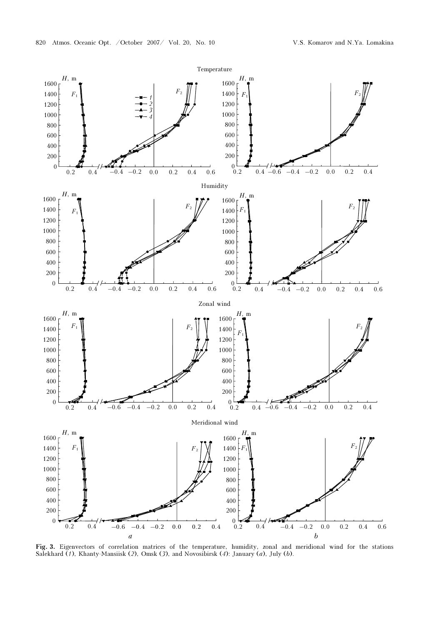

Fig. 3. Eigenvectors of correlation matrices of the temperature, humidity, zonal and meridional wind for the stations Salekhard  $(1)$ , Khanty-Mansiisk (2), Omsk (3), and Novosibirsk (4): January (a), July (b).